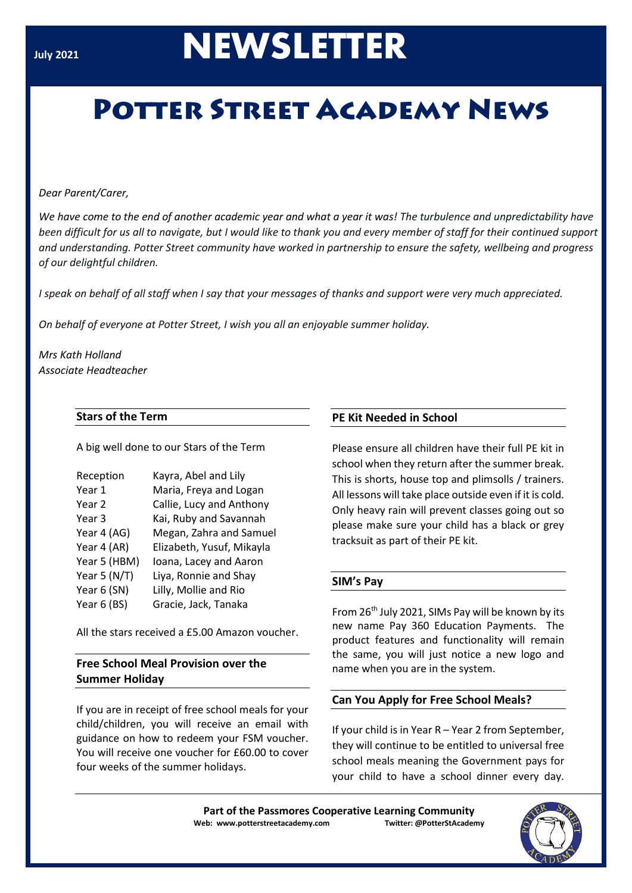# **July <sup>2021</sup>NEWSLETTER**

# **POTTER STREET ACADEMY NEWS**

### *Dear Parent/Carer,*

*We have come to the end of another academic year and what a year it was! The turbulence and unpredictability have been difficult for us all to navigate, but I would like to thank you and every member of staff for their continued support and understanding. Potter Street community have worked in partnership to ensure the safety, wellbeing and progress of our delightful children.* 

*I speak on behalf of all staff when I say that your messages of thanks and support were very much appreciated.*

*On behalf of everyone at Potter Street, I wish you all an enjoyable summer holiday.*

*Mrs Kath Holland Associate Headteacher*

# **Stars of the Term**

A big well done to our Stars of the Term

| Reception        | Kayra, Abel and Lily      |
|------------------|---------------------------|
| Year 1           | Maria, Freya and Logan    |
| Year 2           | Callie, Lucy and Anthony  |
| Year 3           | Kai, Ruby and Savannah    |
| Year 4 (AG)      | Megan, Zahra and Samuel   |
| Year 4 (AR)      | Elizabeth, Yusuf, Mikayla |
| Year 5 (HBM)     | Ioana, Lacey and Aaron    |
| Year 5 ( $N/T$ ) | Liya, Ronnie and Shay     |
| Year 6 (SN)      | Lilly, Mollie and Rio     |
| Year 6 (BS)      | Gracie, Jack, Tanaka      |

All the stars received a £5.00 Amazon voucher.

# **Free School Meal Provision over the Summer Holiday**

If you are in receipt of free school meals for your child/children, you will receive an email with guidance on how to redeem your FSM voucher. You will receive one voucher for £60.00 to cover four weeks of the summer holidays.

# **PE Kit Needed in School**

Please ensure all children have their full PE kit in school when they return after the summer break. This is shorts, house top and plimsolls / trainers. All lessons will take place outside even if it is cold. Only heavy rain will prevent classes going out so please make sure your child has a black or grey tracksuit as part of their PE kit.

# **SIM's Pay**

From 26th July 2021, SIMs Pay will be known by its new name Pay 360 Education Payments. The product features and functionality will remain the same, you will just notice a new logo and name when you are in the system.

# **Can You Apply for Free School Meals?**

If your child is in Year R – Year 2 from September, they will continue to be entitled to universal free school meals meaning the Government pays for your child to have a school dinner every day.

**Part of the Passmores Cooperative Learning Community Web: www.potterstreetacademy.com Twitter: @PotterStAcademy**

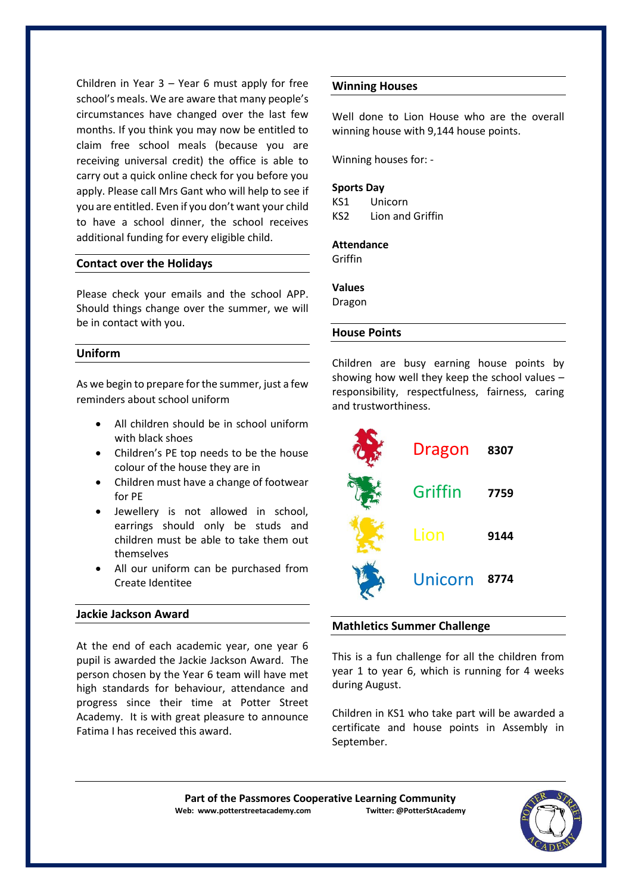Children in Year 3 – Year 6 must apply for free school's meals. We are aware that many people's circumstances have changed over the last few months. If you think you may now be entitled to claim free school meals (because you are receiving universal credit) the office is able to carry out a quick online check for you before you apply. Please call Mrs Gant who will help to see if you are entitled. Even if you don't want your child to have a school dinner, the school receives additional funding for every eligible child.

#### **Contact over the Holidays**

Please check your emails and the school APP. Should things change over the summer, we will be in contact with you.

#### **Uniform**

As we begin to prepare for the summer, just a few reminders about school uniform

- All children should be in school uniform with black shoes
- Children's PE top needs to be the house colour of the house they are in
- Children must have a change of footwear for PE
- Jewellery is not allowed in school, earrings should only be studs and children must be able to take them out themselves
- All our uniform can be purchased from Create Identitee

#### **Jackie Jackson Award**

At the end of each academic year, one year 6 pupil is awarded the Jackie Jackson Award. The person chosen by the Year 6 team will have met high standards for behaviour, attendance and progress since their time at Potter Street Academy. It is with great pleasure to announce Fatima I has received this award.

#### **Winning Houses**

Well done to Lion House who are the overall winning house with 9,144 house points.

Winning houses for: -

#### **Sports Day**

KS1 Unicorn KS2 Lion and Griffin

#### **Attendance**

Griffin

#### **Values**

Dragon

#### **House Points**

Children are busy earning house points by showing how well they keep the school values – responsibility, respectfulness, fairness, caring and trustworthiness.



#### **Mathletics Summer Challenge**

This is a fun challenge for all the children from year 1 to year 6, which is running for 4 weeks during August.

Children in KS1 who take part will be awarded a certificate and house points in Assembly in September.